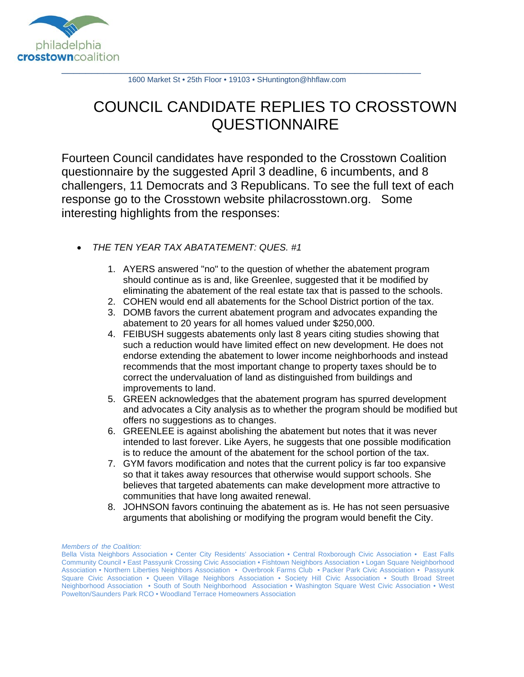

1600 Market St • 25th Floor • 19103 • SHuntington@hhflaw.com

## COUNCIL CANDIDATE REPLIES TO CROSSTOWN **QUESTIONNAIRE**

Fourteen Council candidates have responded to the Crosstown Coalition questionnaire by the suggested April 3 deadline, 6 incumbents, and 8 challengers, 11 Democrats and 3 Republicans. To see the full text of each response go to the Crosstown website philacrosstown.org. Some interesting highlights from the responses:

- *THE TEN YEAR TAX ABATATEMENT: QUES. #1* 
	- 1. AYERS answered "no" to the question of whether the abatement program should continue as is and, like Greenlee, suggested that it be modified by eliminating the abatement of the real estate tax that is passed to the schools.
	- 2. COHEN would end all abatements for the School District portion of the tax.
	- 3. DOMB favors the current abatement program and advocates expanding the abatement to 20 years for all homes valued under \$250,000.
	- 4. FEIBUSH suggests abatements only last 8 years citing studies showing that such a reduction would have limited effect on new development. He does not endorse extending the abatement to lower income neighborhoods and instead recommends that the most important change to property taxes should be to correct the undervaluation of land as distinguished from buildings and improvements to land.
	- 5. GREEN acknowledges that the abatement program has spurred development and advocates a City analysis as to whether the program should be modified but offers no suggestions as to changes.
	- 6. GREENLEE is against abolishing the abatement but notes that it was never intended to last forever. Like Ayers, he suggests that one possible modification is to reduce the amount of the abatement for the school portion of the tax.
	- 7. GYM favors modification and notes that the current policy is far too expansive so that it takes away resources that otherwise would support schools. She believes that targeted abatements can make development more attractive to communities that have long awaited renewal.
	- 8. JOHNSON favors continuing the abatement as is. He has not seen persuasive arguments that abolishing or modifying the program would benefit the City.

*Members of the Coalition:*

Bella Vista Neighbors Association • Center City Residents' Association • Central Roxborough Civic Association • East Falls Community Council • East Passyunk Crossing Civic Association • Fishtown Neighbors Association • Logan Square Neighborhood Association • Northern Liberties Neighbors Association • Overbrook Farms Club • Packer Park Civic Association • Passyunk Square Civic Association • Queen Village Neighbors Association • Society Hill Civic Association • South Broad Street Neighborhood Association • South of South Neighborhood Association • Washington Square West Civic Association • West Powelton/Saunders Park RCO • Woodland Terrace Homeowners Association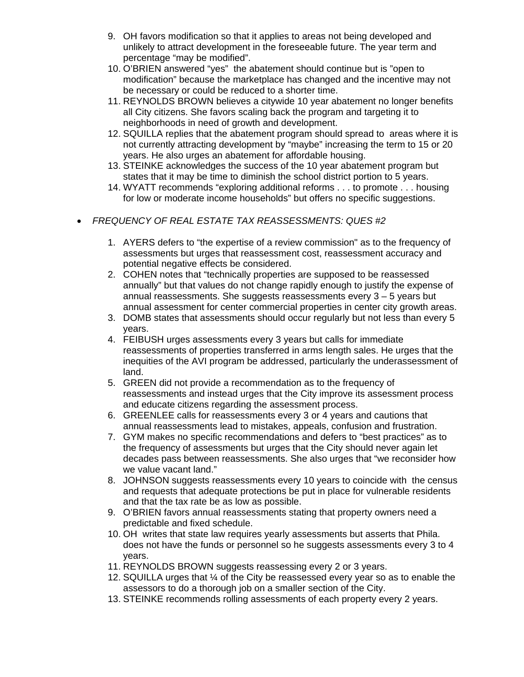- 9. OH favors modification so that it applies to areas not being developed and unlikely to attract development in the foreseeable future. The year term and percentage "may be modified".
- 10. O'BRIEN answered "yes" the abatement should continue but is "open to modification" because the marketplace has changed and the incentive may not be necessary or could be reduced to a shorter time.
- 11. REYNOLDS BROWN believes a citywide 10 year abatement no longer benefits all City citizens. She favors scaling back the program and targeting it to neighborhoods in need of growth and development.
- 12. SQUILLA replies that the abatement program should spread to areas where it is not currently attracting development by "maybe" increasing the term to 15 or 20 years. He also urges an abatement for affordable housing.
- 13. STEINKE acknowledges the success of the 10 year abatement program but states that it may be time to diminish the school district portion to 5 years.
- 14. WYATT recommends "exploring additional reforms . . . to promote . . . housing for low or moderate income households" but offers no specific suggestions.
- *FREQUENCY OF REAL ESTATE TAX REASSESSMENTS: QUES #2* 
	- 1. AYERS defers to "the expertise of a review commission" as to the frequency of assessments but urges that reassessment cost, reassessment accuracy and potential negative effects be considered.
	- 2. COHEN notes that "technically properties are supposed to be reassessed annually" but that values do not change rapidly enough to justify the expense of annual reassessments. She suggests reassessments every 3 – 5 years but annual assessment for center commercial properties in center city growth areas.
	- 3. DOMB states that assessments should occur regularly but not less than every 5 years.
	- 4. FEIBUSH urges assessments every 3 years but calls for immediate reassessments of properties transferred in arms length sales. He urges that the inequities of the AVI program be addressed, particularly the underassessment of land.
	- 5. GREEN did not provide a recommendation as to the frequency of reassessments and instead urges that the City improve its assessment process and educate citizens regarding the assessment process.
	- 6. GREENLEE calls for reassessments every 3 or 4 years and cautions that annual reassessments lead to mistakes, appeals, confusion and frustration.
	- 7. GYM makes no specific recommendations and defers to "best practices" as to the frequency of assessments but urges that the City should never again let decades pass between reassessments. She also urges that "we reconsider how we value vacant land."
	- 8. JOHNSON suggests reassessments every 10 years to coincide with the census and requests that adequate protections be put in place for vulnerable residents and that the tax rate be as low as possible.
	- 9. O'BRIEN favors annual reassessments stating that property owners need a predictable and fixed schedule.
	- 10. OH writes that state law requires yearly assessments but asserts that Phila. does not have the funds or personnel so he suggests assessments every 3 to 4 years.
	- 11. REYNOLDS BROWN suggests reassessing every 2 or 3 years.
	- 12. SQUILLA urges that  $\frac{1}{4}$  of the City be reassessed every year so as to enable the assessors to do a thorough job on a smaller section of the City.
	- 13. STEINKE recommends rolling assessments of each property every 2 years.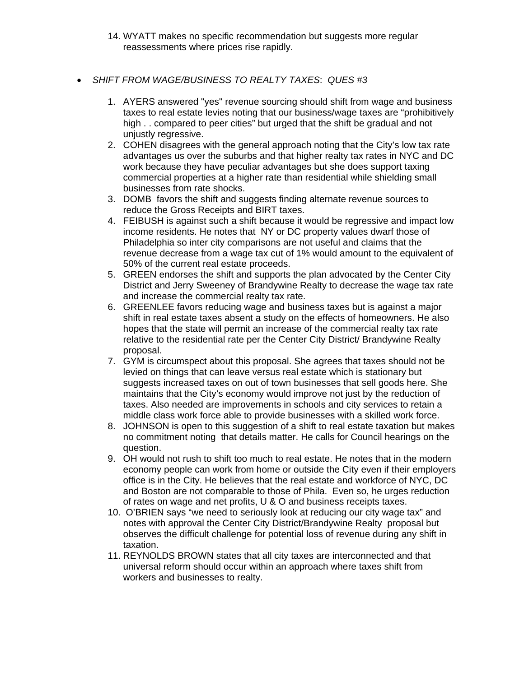- 14. WYATT makes no specific recommendation but suggests more regular reassessments where prices rise rapidly.
- *SHIFT FROM WAGE/BUSINESS TO REALTY TAXES*: *QUES #3*
	- 1. AYERS answered "yes" revenue sourcing should shift from wage and business taxes to real estate levies noting that our business/wage taxes are "prohibitively high . . compared to peer cities" but urged that the shift be gradual and not unjustly regressive.
	- 2. COHEN disagrees with the general approach noting that the City's low tax rate advantages us over the suburbs and that higher realty tax rates in NYC and DC work because they have peculiar advantages but she does support taxing commercial properties at a higher rate than residential while shielding small businesses from rate shocks.
	- 3. DOMB favors the shift and suggests finding alternate revenue sources to reduce the Gross Receipts and BIRT taxes.
	- 4. FEIBUSH is against such a shift because it would be regressive and impact low income residents. He notes that NY or DC property values dwarf those of Philadelphia so inter city comparisons are not useful and claims that the revenue decrease from a wage tax cut of 1% would amount to the equivalent of 50% of the current real estate proceeds.
	- 5. GREEN endorses the shift and supports the plan advocated by the Center City District and Jerry Sweeney of Brandywine Realty to decrease the wage tax rate and increase the commercial realty tax rate.
	- 6. GREENLEE favors reducing wage and business taxes but is against a major shift in real estate taxes absent a study on the effects of homeowners. He also hopes that the state will permit an increase of the commercial realty tax rate relative to the residential rate per the Center City District/ Brandywine Realty proposal.
	- 7. GYM is circumspect about this proposal. She agrees that taxes should not be levied on things that can leave versus real estate which is stationary but suggests increased taxes on out of town businesses that sell goods here. She maintains that the City's economy would improve not just by the reduction of taxes. Also needed are improvements in schools and city services to retain a middle class work force able to provide businesses with a skilled work force.
	- 8. JOHNSON is open to this suggestion of a shift to real estate taxation but makes no commitment noting that details matter. He calls for Council hearings on the question.
	- 9. OH would not rush to shift too much to real estate. He notes that in the modern economy people can work from home or outside the City even if their employers office is in the City. He believes that the real estate and workforce of NYC, DC and Boston are not comparable to those of Phila. Even so, he urges reduction of rates on wage and net profits, U & O and business receipts taxes.
	- 10. O'BRIEN says "we need to seriously look at reducing our city wage tax" and notes with approval the Center City District/Brandywine Realty proposal but observes the difficult challenge for potential loss of revenue during any shift in taxation.
	- 11. REYNOLDS BROWN states that all city taxes are interconnected and that universal reform should occur within an approach where taxes shift from workers and businesses to realty.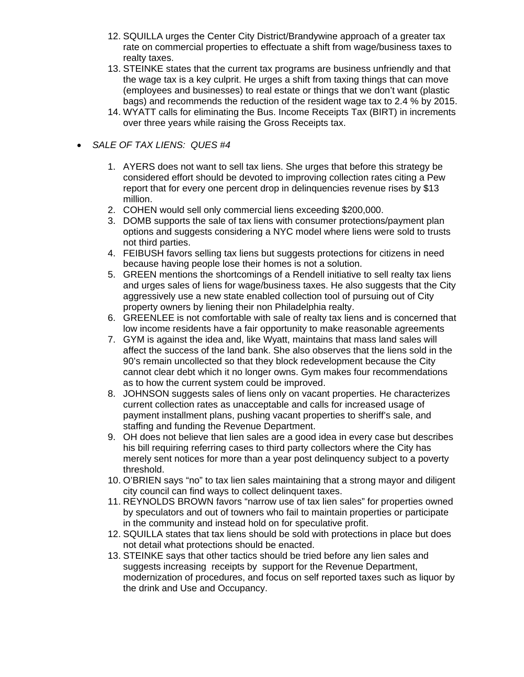- 12. SQUILLA urges the Center City District/Brandywine approach of a greater tax rate on commercial properties to effectuate a shift from wage/business taxes to realty taxes.
- 13. STEINKE states that the current tax programs are business unfriendly and that the wage tax is a key culprit. He urges a shift from taxing things that can move (employees and businesses) to real estate or things that we don't want (plastic bags) and recommends the reduction of the resident wage tax to 2.4 % by 2015.
- 14. WYATT calls for eliminating the Bus. Income Receipts Tax (BIRT) in increments over three years while raising the Gross Receipts tax.

## *SALE OF TAX LIENS: QUES #4*

- 1. AYERS does not want to sell tax liens. She urges that before this strategy be considered effort should be devoted to improving collection rates citing a Pew report that for every one percent drop in delinquencies revenue rises by \$13 million.
- 2. COHEN would sell only commercial liens exceeding \$200,000.
- 3. DOMB supports the sale of tax liens with consumer protections/payment plan options and suggests considering a NYC model where liens were sold to trusts not third parties.
- 4. FEIBUSH favors selling tax liens but suggests protections for citizens in need because having people lose their homes is not a solution.
- 5. GREEN mentions the shortcomings of a Rendell initiative to sell realty tax liens and urges sales of liens for wage/business taxes. He also suggests that the City aggressively use a new state enabled collection tool of pursuing out of City property owners by liening their non Philadelphia realty.
- 6. GREENLEE is not comfortable with sale of realty tax liens and is concerned that low income residents have a fair opportunity to make reasonable agreements
- 7. GYM is against the idea and, like Wyatt, maintains that mass land sales will affect the success of the land bank. She also observes that the liens sold in the 90's remain uncollected so that they block redevelopment because the City cannot clear debt which it no longer owns. Gym makes four recommendations as to how the current system could be improved.
- 8. JOHNSON suggests sales of liens only on vacant properties. He characterizes current collection rates as unacceptable and calls for increased usage of payment installment plans, pushing vacant properties to sheriff's sale, and staffing and funding the Revenue Department.
- 9. OH does not believe that lien sales are a good idea in every case but describes his bill requiring referring cases to third party collectors where the City has merely sent notices for more than a year post delinquency subject to a poverty threshold.
- 10. O'BRIEN says "no" to tax lien sales maintaining that a strong mayor and diligent city council can find ways to collect delinquent taxes.
- 11. REYNOLDS BROWN favors "narrow use of tax lien sales" for properties owned by speculators and out of towners who fail to maintain properties or participate in the community and instead hold on for speculative profit.
- 12. SQUILLA states that tax liens should be sold with protections in place but does not detail what protections should be enacted.
- 13. STEINKE says that other tactics should be tried before any lien sales and suggests increasing receipts by support for the Revenue Department, modernization of procedures, and focus on self reported taxes such as liquor by the drink and Use and Occupancy.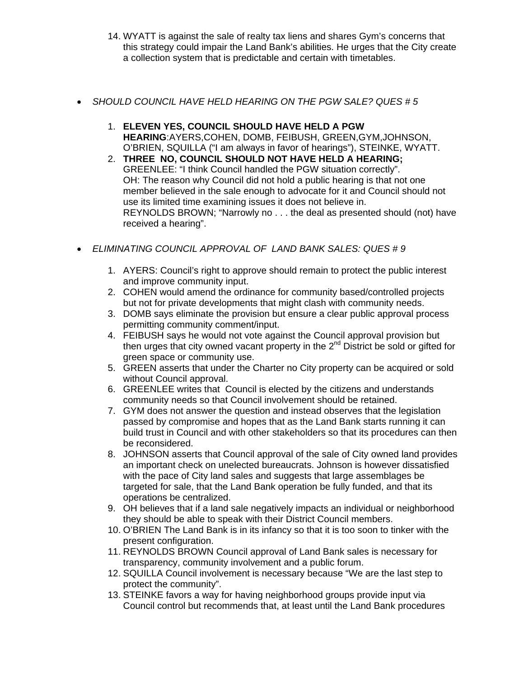- 14. WYATT is against the sale of realty tax liens and shares Gym's concerns that this strategy could impair the Land Bank's abilities. He urges that the City create a collection system that is predictable and certain with timetables.
- *SHOULD COUNCIL HAVE HELD HEARING ON THE PGW SALE? QUES # 5* 
	- 1. **ELEVEN YES, COUNCIL SHOULD HAVE HELD A PGW HEARING**:AYERS,COHEN, DOMB, FEIBUSH, GREEN,GYM,JOHNSON, O'BRIEN, SQUILLA ("I am always in favor of hearings"), STEINKE, WYATT.
	- 2. **THREE NO, COUNCIL SHOULD NOT HAVE HELD A HEARING;** GREENLEE: "I think Council handled the PGW situation correctly". OH: The reason why Council did not hold a public hearing is that not one member believed in the sale enough to advocate for it and Council should not use its limited time examining issues it does not believe in. REYNOLDS BROWN; "Narrowly no . . . the deal as presented should (not) have received a hearing".
- *ELIMINATING COUNCIL APPROVAL OF LAND BANK SALES: QUES # 9* 
	- 1. AYERS: Council's right to approve should remain to protect the public interest and improve community input.
	- 2. COHEN would amend the ordinance for community based/controlled projects but not for private developments that might clash with community needs.
	- 3. DOMB says eliminate the provision but ensure a clear public approval process permitting community comment/input.
	- 4. FEIBUSH says he would not vote against the Council approval provision but then urges that city owned vacant property in the 2<sup>nd</sup> District be sold or gifted for green space or community use.
	- 5. GREEN asserts that under the Charter no City property can be acquired or sold without Council approval.
	- 6. GREENLEE writes that Council is elected by the citizens and understands community needs so that Council involvement should be retained.
	- 7. GYM does not answer the question and instead observes that the legislation passed by compromise and hopes that as the Land Bank starts running it can build trust in Council and with other stakeholders so that its procedures can then be reconsidered.
	- 8. JOHNSON asserts that Council approval of the sale of City owned land provides an important check on unelected bureaucrats. Johnson is however dissatisfied with the pace of City land sales and suggests that large assemblages be targeted for sale, that the Land Bank operation be fully funded, and that its operations be centralized.
	- 9. OH believes that if a land sale negatively impacts an individual or neighborhood they should be able to speak with their District Council members.
	- 10. O'BRIEN The Land Bank is in its infancy so that it is too soon to tinker with the present configuration.
	- 11. REYNOLDS BROWN Council approval of Land Bank sales is necessary for transparency, community involvement and a public forum.
	- 12. SQUILLA Council involvement is necessary because "We are the last step to protect the community".
	- 13. STEINKE favors a way for having neighborhood groups provide input via Council control but recommends that, at least until the Land Bank procedures